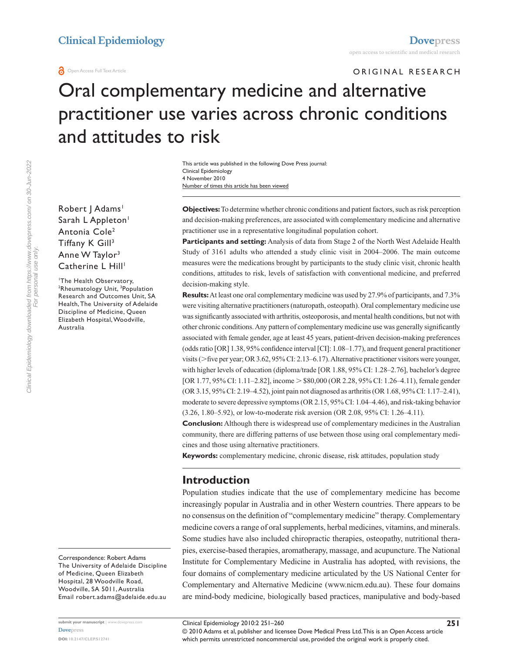ORIGINAL RESEARCH

# Oral complementary medicine and alternative practitioner use varies across chronic conditions and attitudes to risk

Number of times this article has been viewed This article was published in the following Dove Press journal: Clinical Epidemiology 4 November 2010

**Objectives:** To determine whether chronic conditions and patient factors, such as risk perception and decision-making preferences, are associated with complementary medicine and alternative practitioner use in a representative longitudinal population cohort.

**Participants and setting:** Analysis of data from Stage 2 of the North West Adelaide Health Study of 3161 adults who attended a study clinic visit in 2004–2006. The main outcome measures were the medications brought by participants to the study clinic visit, chronic health conditions, attitudes to risk, levels of satisfaction with conventional medicine, and preferred decision-making style.

**Results:** At least one oral complementary medicine was used by 27.9% of participants, and 7.3% were visiting alternative practitioners (naturopath, osteopath). Oral complementary medicine use was significantly associated with arthritis, osteoporosis, and mental health conditions, but not with other chronic conditions. Any pattern of complementary medicine use was generally significantly associated with female gender, age at least 45 years, patient-driven decision-making preferences (odds ratio [OR] 1.38, 95% confidence interval [CI]: 1.08–1.77), and frequent general practitioner visits ( $\ge$  five per year; OR 3.62, 95% CI: 2.13–6.17). Alternative practitioner visitors were younger, with higher levels of education (diploma/trade [OR 1.88, 95% CI: 1.28–2.76], bachelor's degree [OR 1.77, 95% CI: 1.11–2.82], income  $>$  \$80,000 (OR 2.28, 95% CI: 1.26–4.11), female gender (OR 3.15, 95% CI: 2.19–4.52), joint pain not diagnosed as arthritis (OR 1.68, 95% CI: 1.17–2.41), moderate to severe depressive symptoms (OR 2.15, 95% CI: 1.04–4.46), and risk-taking behavior (3.26, 1.80–5.92), or low-to-moderate risk aversion (OR 2.08, 95% CI: 1.26–4.11).

**Conclusion:** Although there is widespread use of complementary medicines in the Australian community, there are differing patterns of use between those using oral complementary medicines and those using alternative practitioners.

**Keywords:** complementary medicine, chronic disease, risk attitudes, population study

## **Introduction**

Population studies indicate that the use of complementary medicine has become increasingly popular in Australia and in other Western countries. There appears to be no consensus on the definition of "complementary medicine" therapy. Complementary medicine covers a range of oral supplements, herbal medicines, vitamins, and minerals. Some studies have also included chiropractic therapies, osteopathy, nutritional therapies, exercise-based therapies, aromatherapy, massage, and acupuncture. The National Institute for Complementary Medicine in Australia has adopted, with revisions, the four domains of complementary medicine articulated by the US National Center for Complementary and Alternative Medicine (www.nicm.edu.au). These four domains are mind-body medicine, biologically based practices, manipulative and body-based

Robert | Adams<sup>1</sup> Sarah L Appleton<sup>1</sup> Antonia Cole2 Tiffany K Gill<sup>3</sup> Anne W Taylor3 Catherine L Hill<sup>1</sup>

Clinical Epidemiology downloaded from https://www.dovepress.com/ on 30-Jun-2022 For personal use only.

Clinical Epidemiology downloaded from https://www.dovepress.com/ on 30-Jun-2022<br>Clinical Epidemiology downloaded from personal use only.

The Health Observatory,<br><sup>2</sup>Rheumatology Unit, <sup>3</sup>Popu Rheumatology Unit, <sup>3</sup>Population Research and Outcomes Unit, SA Health, The University of Adelaide Discipline of Medicine, Queen Elizabeth Hospital, Woodville, Australia

Correspondence: Robert Adams The University of Adelaide Discipline of Medicine, Queen Elizabeth Hospital, 28 Woodville Road, Woodville, SA 5011, Australia Email [robert.adams@adelaide.edu.au](mailto:robert.adams@adelaide.edu.au)

© 2010 Adams et al, publisher and licensee Dove Medical Press Ltd. This is an Open Access article which permits unrestricted noncommercial use, provided the original work is properly cited.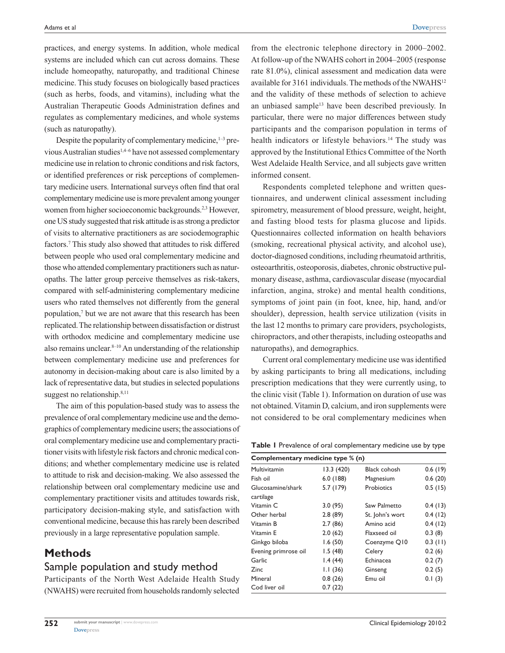practices, and energy systems. In addition, whole medical systems are included which can cut across domains. These include homeopathy, naturopathy, and traditional Chinese medicine. This study focuses on biologically based practices (such as herbs, foods, and vitamins), including what the Australian Therapeutic Goods Administration defines and regulates as complementary medicines, and whole systems (such as naturopathy).

Despite the popularity of complementary medicine, $1-3$  previous Australian studies1,4–6 have not assessed complementary medicine use in relation to chronic conditions and risk factors, or identified preferences or risk perceptions of complementary medicine users. International surveys often find that oral complementary medicine use is more prevalent among younger women from higher socioeconomic backgrounds.<sup>2,3</sup> However, one US study suggested that risk attitude is as strong a predictor of visits to alternative practitioners as are sociodemographic factors.7 This study also showed that attitudes to risk differed between people who used oral complementary medicine and those who attended complementary practitioners such as naturopaths. The latter group perceive themselves as risk-takers, compared with self-administering complementary medicine users who rated themselves not differently from the general population,7 but we are not aware that this research has been replicated. The relationship between dissatisfaction or distrust with orthodox medicine and complementary medicine use also remains unclear.<sup>8-10</sup> An understanding of the relationship between complementary medicine use and preferences for autonomy in decision-making about care is also limited by a lack of representative data, but studies in selected populations suggest no relationship.<sup>8,11</sup>

The aim of this population-based study was to assess the prevalence of oral complementary medicine use and the demographics of complementary medicine users; the associations of oral complementary medicine use and complementary practitioner visits with lifestyle risk factors and chronic medical conditions; and whether complementary medicine use is related to attitude to risk and decision-making. We also assessed the relationship between oral complementary medicine use and complementary practitioner visits and attitudes towards risk, participatory decision-making style, and satisfaction with conventional medicine, because this has rarely been described previously in a large representative population sample.

### **Methods**

### Sample population and study method

Participants of the North West Adelaide Health Study (NWAHS) were recruited from households randomly selected

from the electronic telephone directory in 2000–2002. At follow-up of the NWAHS cohort in 2004–2005 (response rate 81.0%), clinical assessment and medication data were available for 3161 individuals. The methods of the NWAHS<sup>12</sup> and the validity of these methods of selection to achieve an unbiased sample<sup>13</sup> have been described previously. In particular, there were no major differences between study participants and the comparison population in terms of health indicators or lifestyle behaviors.<sup>14</sup> The study was approved by the Institutional Ethics Committee of the North West Adelaide Health Service, and all subjects gave written informed consent.

Respondents completed telephone and written questionnaires, and underwent clinical assessment including spirometry, measurement of blood pressure, weight, height, and fasting blood tests for plasma glucose and lipids. Questionnaires collected information on health behaviors (smoking, recreational physical activity, and alcohol use), doctor-diagnosed conditions, including rheumatoid arthritis, osteoarthritis, osteoporosis, diabetes, chronic obstructive pulmonary disease, asthma, cardiovascular disease (myocardial infarction, angina, stroke) and mental health conditions, symptoms of joint pain (in foot, knee, hip, hand, and/or shoulder), depression, health service utilization (visits in the last 12 months to primary care providers, psychologists, chiropractors, and other therapists, including osteopaths and naturopaths), and demographics.

Current oral complementary medicine use was identified by asking participants to bring all medications, including prescription medications that they were currently using, to the clinic visit (Table 1). Information on duration of use was not obtained. Vitamin D, calcium, and iron supplements were not considered to be oral complementary medicines when

|  |  |  | Table I Prevalence of oral complementary medicine use by type |  |  |
|--|--|--|---------------------------------------------------------------|--|--|
|--|--|--|---------------------------------------------------------------|--|--|

| Complementary medicine type % (n) |            |                 |            |  |  |  |
|-----------------------------------|------------|-----------------|------------|--|--|--|
| Multivitamin                      | 13.3 (420) | Black cohosh    | 0.6(19)    |  |  |  |
| Fish oil                          | 6.0(188)   | Magnesium       | 0.6(20)    |  |  |  |
| Glucosamine/shark                 | 5.7(179)   | Probiotics      | 0.5(15)    |  |  |  |
| cartilage                         |            |                 |            |  |  |  |
| Vitamin C                         | 3.0(95)    | Saw Palmetto    | 0.4(13)    |  |  |  |
| Other herbal                      | 2.8(89)    | St. John's wort | 0.4(12)    |  |  |  |
| Vitamin B                         | 2.7(86)    | Amino acid      | 0.4(12)    |  |  |  |
| Vitamin E                         | 2.0(62)    | Flaxseed oil    | 0.3(8)     |  |  |  |
| Ginkgo biloba                     | 1.6(50)    | Coenzyme Q10    | $0.3$ (11) |  |  |  |
| Evening primrose oil              | 1.5(48)    | Celery          | 0.2(6)     |  |  |  |
| Garlic                            | 1.4(44)    | Echinacea       | 0.2(7)     |  |  |  |
| Zinc                              | 1.1(36)    | Ginseng         | 0.2(5)     |  |  |  |
| Mineral                           | 0.8(26)    | Emu oil         | 0.1(3)     |  |  |  |
| Cod liver oil                     | 0.7(22)    |                 |            |  |  |  |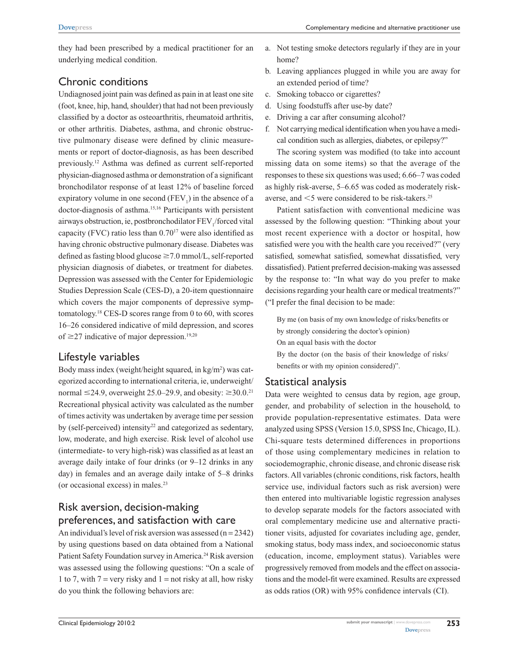they had been prescribed by a medical practitioner for an underlying medical condition.

## Chronic conditions

Undiagnosed joint pain was defined as pain in at least one site (foot, knee, hip, hand, shoulder) that had not been previously classified by a doctor as osteoarthritis, rheumatoid arthritis, or other arthritis. Diabetes, asthma, and chronic obstructive pulmonary disease were defined by clinic measurements or report of doctor-diagnosis, as has been described previously.12 Asthma was defined as current self-reported physician-diagnosed asthma or demonstration of a significant bronchodilator response of at least 12% of baseline forced expiratory volume in one second  $(FEV_1)$  in the absence of a doctor-diagnosis of asthma.15,16 Participants with persistent airways obstruction, ie, postbronchodilator FEV<sub>1</sub>/forced vital capacity (FVC) ratio less than  $0.70^{17}$  were also identified as having chronic obstructive pulmonary disease. Diabetes was defined as fasting blood glucose  $\geq$  7.0 mmol/L, self-reported physician diagnosis of diabetes, or treatment for diabetes. Depression was assessed with the Center for Epidemiologic Studies Depression Scale (CES-D), a 20-item questionnaire which covers the major components of depressive symptomatology.18 CES-D scores range from 0 to 60, with scores 16–26 considered indicative of mild depression, and scores of  $\geq$ 27 indicative of major depression.<sup>19,20</sup>

## Lifestyle variables

Body mass index (weight/height squared, in kg/m<sup>2</sup>) was categorized according to international criteria, ie, underweight/ normal  $\leq$ 24.9, overweight 25.0–29.9, and obesity:  $\geq$ 30.0.<sup>21</sup> Recreational physical activity was calculated as the number of times activity was undertaken by average time per session by (self-perceived) intensity<sup>22</sup> and categorized as sedentary, low, moderate, and high exercise. Risk level of alcohol use (intermediate- to very high-risk) was classified as at least an average daily intake of four drinks (or 9–12 drinks in any day) in females and an average daily intake of 5–8 drinks (or occasional excess) in males.23

## Risk aversion, decision-making preferences, and satisfaction with care

An individual's level of risk aversion was assessed  $(n = 2342)$ by using questions based on data obtained from a National Patient Safety Foundation survey in America.<sup>24</sup> Risk aversion was assessed using the following questions: "On a scale of 1 to 7, with  $7 = \text{very risky}$  and  $1 = \text{not risky}$  at all, how risky do you think the following behaviors are:

- a. Not testing smoke detectors regularly if they are in your home?
- b. Leaving appliances plugged in while you are away for an extended period of time?
- c. Smoking tobacco or cigarettes?
- d. Using foodstuffs after use-by date?
- e. Driving a car after consuming alcohol?
- f. Not carrying medical identification when you have a medical condition such as allergies, diabetes, or epilepsy?"

The scoring system was modified (to take into account missing data on some items) so that the average of the responses to these six questions was used; 6.66–7 was coded as highly risk-averse, 5–6.65 was coded as moderately riskaverse, and  $\leq$  were considered to be risk-takers.<sup>25</sup>

Patient satisfaction with conventional medicine was assessed by the following question: "Thinking about your most recent experience with a doctor or hospital, how satisfied were you with the health care you received?" (very satisfied, somewhat satisfied, somewhat dissatisfied, very dissatisfied). Patient preferred decision-making was assessed by the response to: "In what way do you prefer to make decisions regarding your health care or medical treatments?" ("I prefer the final decision to be made:

By me (on basis of my own knowledge of risks/benefits or by strongly considering the doctor's opinion) On an equal basis with the doctor By the doctor (on the basis of their knowledge of risks/ benefits or with my opinion considered)".

### Statistical analysis

Data were weighted to census data by region, age group, gender, and probability of selection in the household, to provide population-representative estimates. Data were analyzed using SPSS (Version 15.0, SPSS Inc, Chicago, IL). Chi-square tests determined differences in proportions of those using complementary medicines in relation to sociodemographic, chronic disease, and chronic disease risk factors. All variables (chronic conditions, risk factors, health service use, individual factors such as risk aversion) were then entered into multivariable logistic regression analyses to develop separate models for the factors associated with oral complementary medicine use and alternative practitioner visits, adjusted for covariates including age, gender, smoking status, body mass index, and socioeconomic status (education, income, employment status). Variables were progressively removed from models and the effect on associations and the model-fit were examined. Results are expressed as odds ratios (OR) with 95% confidence intervals (CI).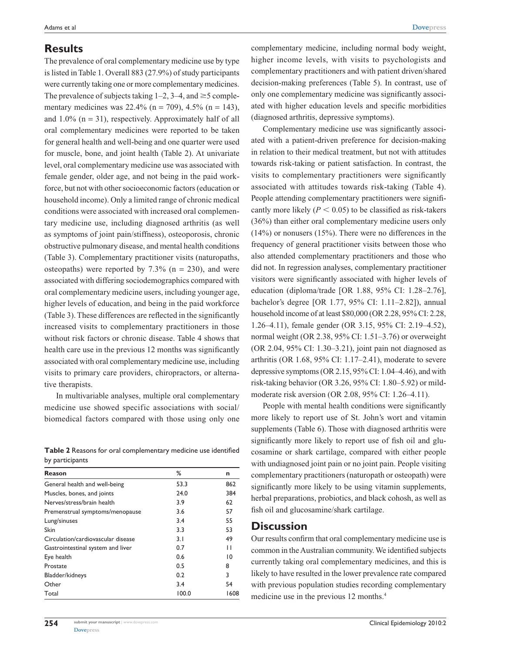#### **Results**

The prevalence of oral complementary medicine use by type is listed in Table 1. Overall 883 (27.9%) of study participants were currently taking one or more complementary medicines. The prevalence of subjects taking  $1-2$ ,  $3-4$ , and  $\geq 5$  complementary medicines was  $22.4\%$  (n = 709),  $4.5\%$  (n = 143), and  $1.0\%$  (n = 31), respectively. Approximately half of all oral complementary medicines were reported to be taken for general health and well-being and one quarter were used for muscle, bone, and joint health (Table 2). At univariate level, oral complementary medicine use was associated with female gender, older age, and not being in the paid workforce, but not with other socioeconomic factors (education or household income). Only a limited range of chronic medical conditions were associated with increased oral complementary medicine use, including diagnosed arthritis (as well as symptoms of joint pain/stiffness), osteoporosis, chronic obstructive pulmonary disease, and mental health conditions (Table 3). Complementary practitioner visits (naturopaths, osteopaths) were reported by  $7.3\%$  (n = 230), and were associated with differing sociodemographics compared with oral complementary medicine users, including younger age, higher levels of education, and being in the paid workforce (Table 3). These differences are reflected in the significantly increased visits to complementary practitioners in those without risk factors or chronic disease. Table 4 shows that health care use in the previous 12 months was significantly associated with oral complementary medicine use, including visits to primary care providers, chiropractors, or alternative therapists.

In multivariable analyses, multiple oral complementary medicine use showed specific associations with social/ biomedical factors compared with those using only one

**Table 2** Reasons for oral complementary medicine use identified by participants

| Reason                             | %     | n    |
|------------------------------------|-------|------|
| General health and well-being      | 53.3  | 862  |
| Muscles, bones, and joints         | 24.0  | 384  |
| Nerves/stress/brain health         | 3.9   | 62   |
| Premenstrual symptoms/menopause    | 3.6   | 57   |
| Lung/sinuses                       | 3.4   | 55   |
| Skin                               | 3.3   | 53   |
| Circulation/cardiovascular disease | 3.1   | 49   |
| Gastrointestinal system and liver  | 0.7   | П    |
| Eye health                         | 0.6   | 10   |
| Prostate                           | 0.5   | 8    |
| Bladder/kidneys                    | 0.2   | 3    |
| Other                              | 3.4   | 54   |
| Total                              | 100.0 | 1608 |

complementary medicine, including normal body weight, higher income levels, with visits to psychologists and complementary practitioners and with patient driven/shared decision-making preferences (Table 5). In contrast, use of only one complementary medicine was significantly associated with higher education levels and specific morbidities (diagnosed arthritis, depressive symptoms).

Complementary medicine use was significantly associated with a patient-driven preference for decision-making in relation to their medical treatment, but not with attitudes towards risk-taking or patient satisfaction. In contrast, the visits to complementary practitioners were significantly associated with attitudes towards risk-taking (Table 4). People attending complementary practitioners were significantly more likely ( $P < 0.05$ ) to be classified as risk-takers (36%) than either oral complementary medicine users only (14%) or nonusers (15%). There were no differences in the frequency of general practitioner visits between those who also attended complementary practitioners and those who did not. In regression analyses, complementary practitioner visitors were significantly associated with higher levels of education (diploma/trade [OR 1.88, 95% CI: 1.28–2.76], bachelor's degree [OR 1.77, 95% CI: 1.11–2.82]), annual household income of at least \$80,000 (OR 2.28, 95% CI: 2.28, 1.26–4.11), female gender (OR 3.15, 95% CI: 2.19–4.52), normal weight (OR 2.38, 95% CI: 1.51–3.76) or overweight (OR 2.04, 95% CI: 1.30–3.21), joint pain not diagnosed as arthritis (OR 1.68, 95% CI: 1.17–2.41), moderate to severe depressive symptoms (OR 2.15, 95% CI: 1.04–4.46), and with risk-taking behavior (OR 3.26, 95% CI: 1.80–5.92) or mildmoderate risk aversion (OR 2.08, 95% CI: 1.26–4.11).

People with mental health conditions were significantly more likely to report use of St. John's wort and vitamin supplements (Table 6). Those with diagnosed arthritis were significantly more likely to report use of fish oil and glucosamine or shark cartilage, compared with either people with undiagnosed joint pain or no joint pain. People visiting complementary practitioners (naturopath or osteopath) were significantly more likely to be using vitamin supplements, herbal preparations, probiotics, and black cohosh, as well as fish oil and glucosamine/shark cartilage.

#### **Discussion**

Our results confirm that oral complementary medicine use is common in the Australian community. We identified subjects currently taking oral complementary medicines, and this is likely to have resulted in the lower prevalence rate compared with previous population studies recording complementary medicine use in the previous 12 months.4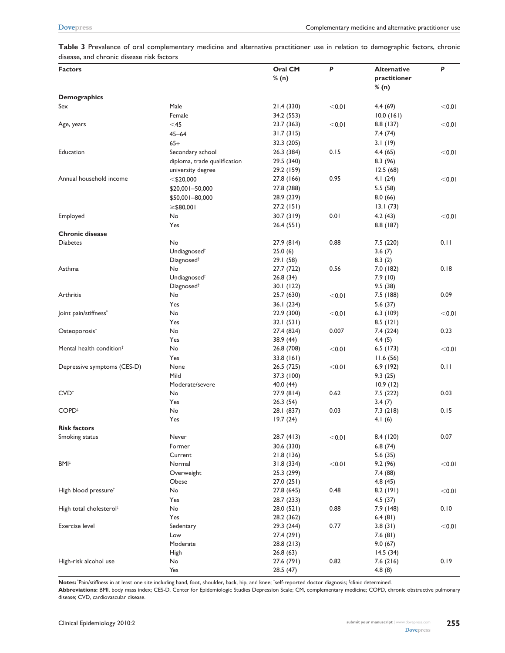**Table 3** Prevalence of oral complementary medicine and alternative practitioner use in relation to demographic factors, chronic disease, and chronic disease risk factors

| <b>Factors</b>                       |                              | Oral CM                 | P      | <b>Alternative</b> | P      |
|--------------------------------------|------------------------------|-------------------------|--------|--------------------|--------|
|                                      |                              | % (n)                   |        | practitioner       |        |
|                                      |                              |                         |        | % (n)              |        |
| <b>Demographics</b>                  |                              |                         |        |                    |        |
| Sex                                  | Male                         | 21.4(330)               | < 0.01 | 4.4(69)            | < 0.01 |
|                                      | Female                       | 34.2 (553)              |        | 10.0(161)          |        |
| Age, years                           | $<$ 45                       | 23.7 (363)              | < 0.01 | 8.8(137)           | < 0.01 |
|                                      | $45 - 64$                    | 31.7(315)               |        | 7.4 (74)           |        |
|                                      | $65+$                        | 32.3 (205)              |        | 3.I (19)           |        |
| Education                            | Secondary school             | 26.3 (384)              | 0.15   | 4.4(65)            | < 0.01 |
|                                      | diploma, trade qualification | 29.5 (340)              |        | 8.3(96)            |        |
|                                      | university degree            | 29.2 (159)              |        | 12.5(68)           |        |
| Annual household income              | $<$ \$20,000                 | 27.8 (166)              | 0.95   | 4.1 $(24)$         | < 0.01 |
|                                      | $$20,001 - 50,000$           | 27.8 (288)              |        | 5.5(58)            |        |
|                                      | $$50,001 - 80,000$           | 28.9 (239)              |        | 8.0(66)            |        |
|                                      | $\ge$ \$80,001               | 27.2(151)               |        | 13.1(73)           |        |
| Employed                             | No                           | 30.7 (319)              | 0.01   | 4.2(43)            | < 0.01 |
|                                      | Yes                          |                         |        |                    |        |
| <b>Chronic disease</b>               |                              | 26.4(551)               |        | 8.8(187)           |        |
| <b>Diabetes</b>                      | No                           | 27.9(814)               | 0.88   | 7.5(220)           | 0.11   |
|                                      | Undiagnosed <sup>#</sup>     | 25.0(6)                 |        | 3.6(7)             |        |
|                                      | Diagnosed <sup>†</sup>       | 29.1(58)                |        | 8.3(2)             |        |
| Asthma                               | <b>No</b>                    | 27.7 (722)              | 0.56   | 7.0(182)           | 0.18   |
|                                      | Undiagnosed <sup>#</sup>     | 26.8(34)                |        | 7.9(10)            |        |
|                                      | Diagnosed <sup>†</sup>       | 30.1 (122)              |        | 9.5(38)            |        |
| Arthritis                            | <b>No</b>                    | 25.7 (630)              | < 0.01 | 7.5 (188)          | 0.09   |
|                                      | Yes                          |                         |        |                    |        |
| Joint pain/stiffness <sup>®</sup>    | No                           | 36.1(234)<br>22.9 (300) |        | 5.6(37)            |        |
|                                      |                              |                         | < 0.01 | 6.3(109)           | < 0.01 |
|                                      | Yes                          | 32.1(531)               |        | 8.5(121)           |        |
| Osteoporosis <sup>†</sup>            | <b>No</b>                    | 27.4 (824)              | 0.007  | 7.4(224)           | 0.23   |
|                                      | Yes                          | 38.9 (44)               |        | 4.4(5)             |        |
| Mental health condition <sup>†</sup> | No                           | 26.8 (708)              | < 0.01 | 6.5(173)           | < 0.01 |
|                                      | Yes                          | 33.8(161)               |        | 11.6(56)           |        |
| Depressive symptoms (CES-D)          | None                         | 26.5 (725)              | < 0.01 | 6.9(192)           | 0.11   |
|                                      | Mild                         | 37.3 (100)              |        | 9.3(25)            |        |
|                                      | Moderate/severe              | 40.0 (44)               |        | 10.9(12)           |        |
| <b>CVD</b> <sup>†</sup>              | No                           | 27.9(814)               | 0.62   | 7.5 (222)          | 0.03   |
|                                      | Yes                          | 26.3(54)                |        | 3.4(7)             |        |
| COPD <sup>#</sup>                    | No                           | 28.1 (837)              | 0.03   | 7.3(218)           | 0.15   |
|                                      | Yes                          | 19.7(24)                |        | 4.1 $(6)$          |        |
| <b>Risk factors</b>                  |                              |                         |        |                    |        |
| Smoking status                       | Never                        | 28.7 (413)              | < 0.01 | 8.4 (120)          | 0.07   |
|                                      | Former                       | 30.6 (330)              |        | 6.8(74)            |        |
|                                      | Current                      | 21.8(136)               |        | 5.6(35)            |        |
| <b>BMI</b> <sup>#</sup>              | Normal                       | 31.8(334)               | < 0.01 | 9.2(96)            | < 0.01 |
|                                      | Overweight                   | 25.3 (299)              |        | 7.4(88)            |        |
|                                      | Obese                        | 27.0(251)               |        | 4.8(45)            |        |
| High blood pressure <sup>‡</sup>     | No                           | 27.8 (645)              | 0.48   | 8.2(191)           | < 0.01 |
|                                      | Yes                          | 28.7 (233)              |        | 4.5(37)            |        |
| High total cholesterol <sup>#</sup>  | No                           | 28.0 (521)              | 0.88   | 7.9 (148)          | 0.10   |
|                                      | Yes                          | 28.2 (362)              |        | 6.4(81)            |        |
| <b>Exercise level</b>                | Sedentary                    | 29.3 (244)              | 0.77   | 3.8(31)            | < 0.01 |
|                                      | Low                          | 27.4(291)               |        | 7.6(81)            |        |
|                                      | Moderate                     | 28.8(213)               |        | 9.0(67)            |        |
|                                      | High                         | 26.8(63)                |        | 14.5(34)           |        |
| High-risk alcohol use                | No                           | 27.6 (791)              | 0.82   | 7.6(216)           | 0.19   |
|                                      | Yes                          | 28.5 (47)               |        | 4.8(8)             |        |

**Notes:** \*Pain/stiffness in at least one site including hand, foot, shoulder, back, hip, and knee; † self-reported doctor diagnosis; ‡ clinic determined.

**Abbreviations:** BMI, body mass index; CES-D, Center for Epidemiologic Studies Depression Scale; CM, complementary medicine; COPD, chronic obstructive pulmonary disease; CVD, cardiovascular disease.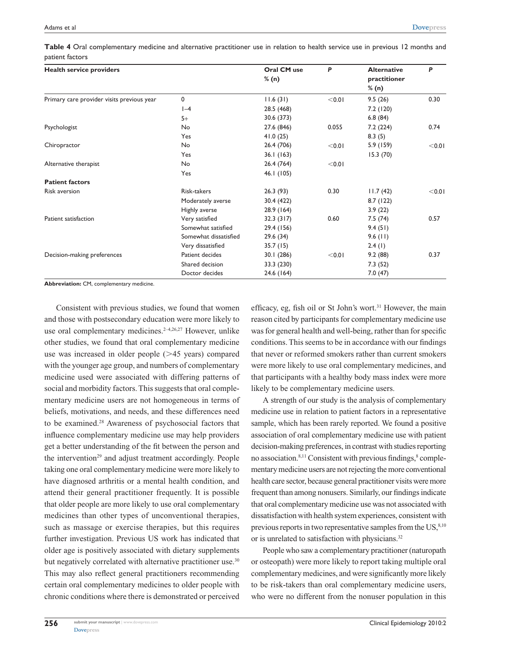**Table 4** Oral complementary medicine and alternative practitioner use in relation to health service use in previous 12 months and patient factors

| <b>Health service providers</b>            |                       | Oral CM use | P      | <b>Alternative</b>    | P      |
|--------------------------------------------|-----------------------|-------------|--------|-----------------------|--------|
|                                            |                       | % (n)       |        | practitioner<br>% (n) |        |
| Primary care provider visits previous year | 0                     | 11.6(31)    | < 0.01 | 9.5(26)               | 0.30   |
|                                            | $ -4$                 | 28.5 (468)  |        | 7.2(120)              |        |
|                                            | $5+$                  | 30.6 (373)  |        | 6.8(84)               |        |
| Psychologist                               | No                    | 27.6 (846)  | 0.055  | 7.2(224)              | 0.74   |
|                                            | Yes                   | 41.0(25)    |        | 8.3(5)                |        |
| Chiropractor                               | No                    | 26.4 (706)  | < 0.01 | 5.9 (159)             | < 0.01 |
|                                            | Yes                   | 36.1(163)   |        | 15.3(70)              |        |
| Alternative therapist                      | No                    | 26.4 (764)  | < 0.01 |                       |        |
|                                            | Yes                   | 46.1 (105)  |        |                       |        |
| <b>Patient factors</b>                     |                       |             |        |                       |        |
| <b>Risk aversion</b>                       | Risk-takers           | 26.3(93)    | 0.30   | 11.7(42)              | < 0.01 |
|                                            | Moderately averse     | 30.4 (422)  |        | 8.7(122)              |        |
|                                            | Highly averse         | 28.9 (164)  |        | 3.9(22)               |        |
| Patient satisfaction                       | Very satisfied        | 32.3(317)   | 0.60   | 7.5(74)               | 0.57   |
|                                            | Somewhat satisfied    | 29.4 (156)  |        | 9.4(51)               |        |
|                                            | Somewhat dissatisfied | 29.6 (34)   |        | $9.6$ (11)            |        |
|                                            | Very dissatisfied     | 35.7(15)    |        | 2.4(1)                |        |
| Decision-making preferences                | Patient decides       | 30.1 (286)  | < 0.01 | 9.2(88)               | 0.37   |
|                                            | Shared decision       | 33.3 (230)  |        | 7.3(52)               |        |
|                                            | Doctor decides        | 24.6 (164)  |        | 7.0(47)               |        |

**Abbreviation:** CM, complementary medicine.

Consistent with previous studies, we found that women and those with postsecondary education were more likely to use oral complementary medicines.<sup>2-4,26,27</sup> However, unlike other studies, we found that oral complementary medicine use was increased in older people  $($ >45 years) compared with the younger age group, and numbers of complementary medicine used were associated with differing patterns of social and morbidity factors. This suggests that oral complementary medicine users are not homogeneous in terms of beliefs, motivations, and needs, and these differences need to be examined.28 Awareness of psychosocial factors that influence complementary medicine use may help providers get a better understanding of the fit between the person and the intervention<sup>29</sup> and adjust treatment accordingly. People taking one oral complementary medicine were more likely to have diagnosed arthritis or a mental health condition, and attend their general practitioner frequently. It is possible that older people are more likely to use oral complementary medicines than other types of unconventional therapies, such as massage or exercise therapies, but this requires further investigation. Previous US work has indicated that older age is positively associated with dietary supplements but negatively correlated with alternative practitioner use.<sup>30</sup> This may also reflect general practitioners recommending certain oral complementary medicines to older people with chronic conditions where there is demonstrated or perceived efficacy, eg, fish oil or St John's wort.<sup>31</sup> However, the main reason cited by participants for complementary medicine use was for general health and well-being, rather than for specific conditions. This seems to be in accordance with our findings that never or reformed smokers rather than current smokers were more likely to use oral complementary medicines, and that participants with a healthy body mass index were more likely to be complementary medicine users.

A strength of our study is the analysis of complementary medicine use in relation to patient factors in a representative sample, which has been rarely reported. We found a positive association of oral complementary medicine use with patient decision-making preferences, in contrast with studies reporting no association.<sup>8,11</sup> Consistent with previous findings,<sup>8</sup> complementary medicine users are not rejecting the more conventional health care sector, because general practitioner visits were more frequent than among nonusers. Similarly, our findings indicate that oral complementary medicine use was not associated with dissatisfaction with health system experiences, consistent with previous reports in two representative samples from the  $US<sub>1</sub><sup>8,10</sup>$ or is unrelated to satisfaction with physicians.<sup>32</sup>

People who saw a complementary practitioner (naturopath or osteopath) were more likely to report taking multiple oral complementary medicines, and were significantly more likely to be risk-takers than oral complementary medicine users, who were no different from the nonuser population in this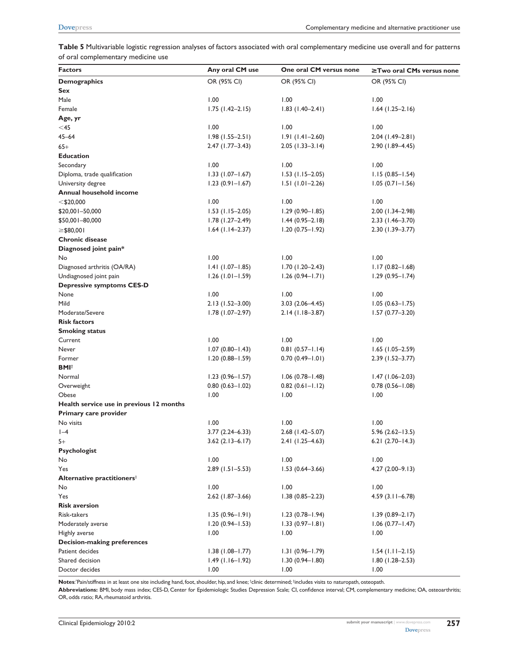|                                    | Table 5 Multivariable logistic regression analyses of factors associated with oral complementary medicine use overall and for patterns |  |  |
|------------------------------------|----------------------------------------------------------------------------------------------------------------------------------------|--|--|
| of oral complementary medicine use |                                                                                                                                        |  |  |

| <b>Factors</b>                           | Any oral CM use     | One oral CM versus none | ≥Two oral CMs versus none |
|------------------------------------------|---------------------|-------------------------|---------------------------|
| <b>Demographics</b>                      | OR (95% CI)         | OR (95% CI)             | OR (95% CI)               |
| Sex                                      |                     |                         |                           |
| Male                                     | 1.00                | 1.00                    | 1.00                      |
| Female                                   | $1.75(1.42 - 2.15)$ | $1.83(1.40 - 2.41)$     | $1.64$ (1.25-2.16)        |
| Age, yr                                  |                     |                         |                           |
| $<$ 45                                   | 1.00                | 1.00                    | 1.00                      |
| 45–64                                    | $1.98(1.55 - 2.51)$ | $1.91(1.41 - 2.60)$     | $2.04(1.49 - 2.81)$       |
| $65+$                                    | $2.47(1.77-3.43)$   | $2.05(1.33 - 3.14)$     | 2.90 (1.89-4.45)          |
| <b>Education</b>                         |                     |                         |                           |
| Secondary                                | 1.00                | 1.00                    | 1.00                      |
| Diploma, trade qualification             | $1.33(1.07 - 1.67)$ | $1.53$ (1.15-2.05)      | $1.15(0.85 - 1.54)$       |
| University degree                        | $1.23(0.91 - 1.67)$ | $1.51(1.01 - 2.26)$     | $1.05(0.71 - 1.56)$       |
| Annual household income                  |                     |                         |                           |
| $<$ \$20,000                             | 1.00                | 1.00                    | 1.00                      |
| \$20,001-50,000                          | $1.53$ (1.15-2.05)  | $1.29(0.90 - 1.85)$     | $2.00$ (1.34-2.98)        |
| \$50,001-80,000                          | $1.78(1.27 - 2.49)$ | $1.44(0.95 - 2.18)$     | $2.33(1.46 - 3.70)$       |
| $\ge$ \$80,001                           | $1.64$ (1.14-2.37)  | $1.20(0.75 - 1.92)$     | $2.30(1.39 - 3.77)$       |
| <b>Chronic disease</b>                   |                     |                         |                           |
| Diagnosed joint pain*                    |                     |                         |                           |
| No                                       | 1.00                | 1.00                    | 1.00                      |
| Diagnosed arthritis (OA/RA)              | $1.41(1.07 - 1.85)$ | $1.70(1.20 - 2.43)$     | $1.17(0.82 - 1.68)$       |
| Undiagnosed joint pain                   | $1.26(1.01 - 1.59)$ | $1.26(0.94 - 1.71)$     | $1.29(0.95 - 1.74)$       |
| <b>Depressive symptoms CES-D</b>         |                     |                         |                           |
| None                                     | 1.00                | 1.00                    | 1.00                      |
| Mild                                     | $2.13(1.52 - 3.00)$ | $3.03(2.06 - 4.45)$     | $1.05(0.63 - 1.75)$       |
| Moderate/Severe                          | $1.78(1.07 - 2.97)$ | $2.14(1.18 - 3.87)$     | $1.57(0.77 - 3.20)$       |
| <b>Risk factors</b>                      |                     |                         |                           |
| <b>Smoking status</b>                    |                     |                         |                           |
| Current                                  | 1.00                | 1.00                    | 1.00                      |
| Never                                    | $1.07(0.80 - 1.43)$ | $0.81(0.57 - 1.14)$     | $1.65$ (1.05-2.59)        |
| Former                                   | $1.20(0.88 - 1.59)$ | $0.70(0.49 - 1.01)$     | $2.39$ (1.52-3.77)        |
| <b>BMI</b> <sup>t</sup>                  |                     |                         |                           |
| Normal                                   | $1.23(0.96 - 1.57)$ | $1.06(0.78 - 1.48)$     | $1.47(1.06 - 2.03)$       |
| Overweight                               | $0.80(0.63 - 1.02)$ | $0.82(0.61 - 1.12)$     | $0.78(0.56 - 1.08)$       |
| Obese                                    | 1.00                | 1.00                    | 1.00                      |
| Health service use in previous 12 months |                     |                         |                           |
| Primary care provider                    |                     |                         |                           |
| No visits                                | 1.00                | 1.00                    | 1.00                      |
| $I - 4$                                  | $3.77(2.24 - 6.33)$ | $2.68$ (1.42-5.07)      | $5.96(2.62 - 13.5)$       |
| $5\mathrm{+}$                            | $3.62(2.13 - 6.17)$ | $2.41(1.25 - 4.63)$     | $6.21(2.70-14.3)$         |
| Psychologist                             |                     |                         |                           |
| No                                       | 1.00                | 1.00                    | 1.00                      |
| Yes                                      | $2.89$ (1.51-5.53)  | $1.53(0.64 - 3.66)$     | $4.27(2.00-9.13)$         |
| Alternative practitioners <sup>‡</sup>   |                     |                         |                           |
| No                                       | 1.00                | 1.00                    | 1.00                      |
| Yes                                      | $2.62$ (1.87-3.66)  | $1.38(0.85 - 2.23)$     | $4.59(3.11 - 6.78)$       |
| <b>Risk aversion</b>                     |                     |                         |                           |
| Risk-takers                              | $1.35(0.96 - 1.91)$ | $1.23(0.78 - 1.94)$     | $1.39(0.89 - 2.17)$       |
| Moderately averse                        | $1.20(0.94 - 1.53)$ | $1.33(0.97 - 1.81)$     | $1.06(0.77 - 1.47)$       |
| Highly averse                            | 1.00                | 1.00                    | 1.00                      |
| <b>Decision-making preferences</b>       |                     |                         |                           |
| Patient decides                          | $1.38(1.08 - 1.77)$ | $1.31(0.96 - 1.79)$     | $1.54$ (1.11-2.15)        |
| Shared decision                          | $1.49(1.16 - 1.92)$ | $1.30(0.94 - 1.80)$     | $1.80(1.28 - 2.53)$       |
| Doctor decides                           | 1.00                | 1.00                    | 1.00                      |

Notes: Pain/stiffness in at least one site including hand, foot, shoulder, hip, and knee; <sup>†</sup>clinic determined; <sup>‡</sup>includes visits to naturopath, osteopath.

**Abbreviations:** BMI, body mass index; CES-D, Center for Epidemiologic Studies Depression Scale; CI, confidence interval; CM, complementary medicine; OA, osteoarthritis; OR, odds ratio; RA, rheumatoid arthritis.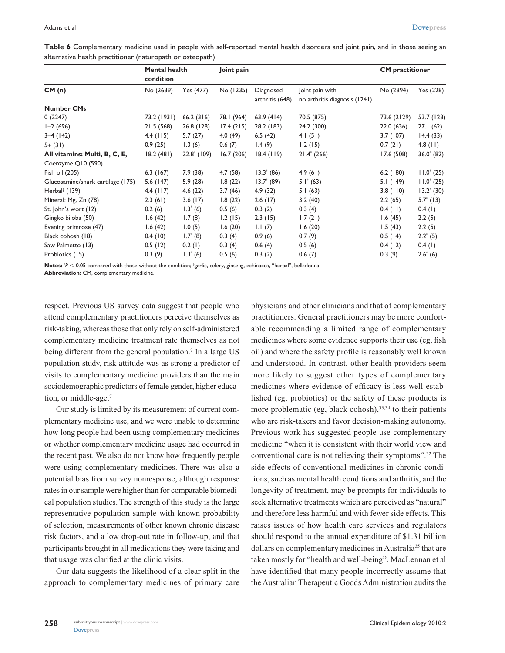|                                   | <b>Mental health</b><br>condition |                   | Joint pain |                              |                                                  | <b>CM</b> practitioner |                     |
|-----------------------------------|-----------------------------------|-------------------|------------|------------------------------|--------------------------------------------------|------------------------|---------------------|
| CM(n)                             | No (2639)                         | Yes (477)         | No (1235)  | Diagnosed<br>arthritis (648) | Joint pain with<br>no arthritis diagnosis (1241) | No (2894)              | Yes (228)           |
| <b>Number CMs</b>                 |                                   |                   |            |                              |                                                  |                        |                     |
| 0(2247)                           | 73.2 (1931)                       | 66.2(316)         | 78.1 (964) | 63.9(414)                    | 70.5 (875)                                       | 73.6 (2129)            | 53.7 (123)          |
| $I - 2(696)$                      | 21.5(568)                         | 26.8 (128)        | 17.4(215)  | 28.2 (183)                   | 24.2 (300)                                       | 22.0(636)              | 27.1(62)            |
| $3-4(142)$                        | $4.4$ (115)                       | 5.7(27)           | 4.0(49)    | 6.5(42)                      | 4.1 $(51)$                                       | 3.7(107)               | 14.4(33)            |
| $5+ (31)$                         | 0.9(25)                           | 1.3(6)            | 0.6(7)     | 1.4(9)                       | 1.2(15)                                          | 0.7(21)                | $4.8$ (11)          |
| All vitamins: Multi, B, C, E,     | 18.2(481)                         | $22.8^*$ (109)    | 16.7(206)  | 18.4(119)                    | $21.4^{\circ}$ (266)                             | 17.6 (508)             | $36.0^{\circ}$ (82) |
| Coenzyme Q10 (590)                |                                   |                   |            |                              |                                                  |                        |                     |
| Fish oil (205)                    | 6.3(167)                          | 7.9(38)           | 4.7(58)    | $13.3^* (86)$                | 4.9(61)                                          | 6.2(180)               | $11.0^{\circ}$ (25) |
| Glucosamine/shark cartilage (175) | 5.6(147)                          | 5.9(28)           | 1.8(22)    | $13.7^{\circ}$ (89)          | $5.1^*(63)$                                      | 5.1(149)               | $11.0^{\circ}$ (25) |
| Herbal <sup>†</sup> (139)         | $4.4$ (117)                       | 4.6(22)           | 3.7(46)    | 4.9(32)                      | 5.1(63)                                          | 3.8(110)               | $13.2^*(30)$        |
| Mineral: Mg, Zn (78)              | 2.3(61)                           | 3.6(17)           | 1.8(22)    | 2.6(17)                      | 3.2(40)                                          | 2.2(65)                | $5.7^{\circ}$ (13)  |
| St. John's wort (12)              | 0.2(6)                            | $1.3^*$ (6)       | 0.5(6)     | 0.3(2)                       | 0.3(4)                                           | $0.4$ (11)             | 0.4(1)              |
| Gingko biloba (50)                | 1.6(42)                           | 1.7(8)            | 1.2(15)    | 2.3(15)                      | 1.7(21)                                          | 1.6(45)                | 2.2(5)              |
| Evening primrose (47)             | 1.6(42)                           | 1.0(5)            | 1.6(20)    | 1.1(7)                       | 1.6(20)                                          | 1.5(43)                | 2.2(5)              |
| Black cohosh (18)                 | 0.4(10)                           | $1.7^{\circ}$ (8) | 0.3(4)     | 0.9(6)                       | 0.7(9)                                           | 0.5(14)                | $2.2^*(5)$          |
| Saw Palmetto (13)                 | 0.5(12)                           | 0.2(1)            | 0.3(4)     | 0.6(4)                       | 0.5(6)                                           | 0.4(12)                | 0.4(1)              |
| Probiotics (15)                   | 0.3(9)                            | $1.3^*$ (6)       | 0.5(6)     | 0.3(2)                       | 0.6(7)                                           | 0.3(9)                 | $2.6^* (6)$         |

Table 6 Complementary medicine used in people with self-reported mental health disorders and joint pain, and in those seeing an alternative health practitioner (naturopath or osteopath)

Notes:  $P < 0.05$  compared with those without the condition; <sup>†</sup>garlic, celery, ginseng, echinacea, "herbal", belladonna. **Abbreviation:** CM, complementary medicine.

respect. Previous US survey data suggest that people who attend complementary practitioners perceive themselves as risk-taking, whereas those that only rely on self-administered complementary medicine treatment rate themselves as not being different from the general population.<sup>7</sup> In a large US population study, risk attitude was as strong a predictor of visits to complementary medicine providers than the main sociodemographic predictors of female gender, higher education, or middle-age.7

Our study is limited by its measurement of current complementary medicine use, and we were unable to determine how long people had been using complementary medicines or whether complementary medicine usage had occurred in the recent past. We also do not know how frequently people were using complementary medicines. There was also a potential bias from survey nonresponse, although response rates in our sample were higher than for comparable biomedical population studies. The strength of this study is the large representative population sample with known probability of selection, measurements of other known chronic disease risk factors, and a low drop-out rate in follow-up, and that participants brought in all medications they were taking and that usage was clarified at the clinic visits.

Our data suggests the likelihood of a clear split in the approach to complementary medicines of primary care physicians and other clinicians and that of complementary practitioners. General practitioners may be more comfortable recommending a limited range of complementary medicines where some evidence supports their use (eg, fish oil) and where the safety profile is reasonably well known and understood. In contrast, other health providers seem more likely to suggest other types of complementary medicines where evidence of efficacy is less well established (eg, probiotics) or the safety of these products is more problematic (eg, black cohosh),<sup>33,34</sup> to their patients who are risk-takers and favor decision-making autonomy. Previous work has suggested people use complementary medicine "when it is consistent with their world view and conventional care is not relieving their symptoms".32 The side effects of conventional medicines in chronic conditions, such as mental health conditions and arthritis, and the longevity of treatment, may be prompts for individuals to seek alternative treatments which are perceived as "natural" and therefore less harmful and with fewer side effects. This raises issues of how health care services and regulators should respond to the annual expenditure of \$1.31 billion dollars on complementary medicines in Australia<sup>35</sup> that are taken mostly for "health and well-being". MacLennan et al have identified that many people incorrectly assume that the Australian Therapeutic Goods Administration audits the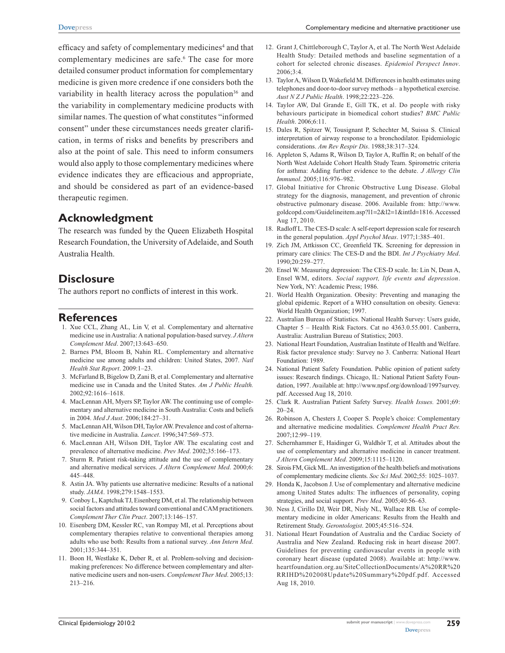efficacy and safety of complementary medicines<sup>4</sup> and that complementary medicines are safe.<sup>6</sup> The case for more detailed consumer product information for complementary medicine is given more credence if one considers both the variability in health literacy across the population<sup>36</sup> and the variability in complementary medicine products with similar names. The question of what constitutes "informed consent" under these circumstances needs greater clarification, in terms of risks and benefits by prescribers and also at the point of sale. This need to inform consumers would also apply to those complementary medicines where evidence indicates they are efficacious and appropriate, and should be considered as part of an evidence-based therapeutic regimen.

### **Acknowledgment**

The research was funded by the Queen Elizabeth Hospital Research Foundation, the University of Adelaide, and South Australia Health.

## **Disclosure**

The authors report no conflicts of interest in this work.

#### **References**

- 1. Xue CCL, Zhang AL, Lin V, et al. Complementary and alternative medicine use in Australia: A national population-based survey. *J Altern Complement Med*. 2007;13:643–650.
- 2. Barnes PM, Bloom B, Nahin RL. Complementary and alternative medicine use among adults and children: United States, 2007. *Natl Health Stat Report*. 2009:1–23.
- 3. McFarland B, Bigelow D, Zani B, et al. Complementary and alternative medicine use in Canada and the United States. *Am J Public Health.* 2002;92:1616–1618.
- 4. MacLennan AH, Myers SP, Taylor AW. The continuing use of complementary and alternative medicine in South Australia: Costs and beliefs in 2004. *Med J Aust*. 2006;184:27–31.
- 5. MacLennan AH, Wilson DH, Taylor AW. Prevalence and cost of alternative medicine in Australia. *Lancet*. 1996;347:569–573.
- 6. MacLennan AH, Wilson DH, Taylor AW. The escalating cost and prevalence of alternative medicine. *Prev Med*. 2002;35:166–173.
- 7. Sturm R. Patient risk-taking attitude and the use of complementary and alternative medical services. *J Altern Complement Med*. 2000;6: 445–448.
- 8. Astin JA. Why patients use alternative medicine: Results of a national study. *JAMA*. 1998;279:1548–1553.
- 9. Conboy L, Kaptchuk TJ, Eisenberg DM, et al. The relationship between social factors and attitudes toward conventional and CAM practitioners. *Complement Ther Clin Pract*. 2007;13:146–157.
- 10. Eisenberg DM, Kessler RC, van Rompay MI, et al. Perceptions about complementary therapies relative to conventional therapies among adults who use both: Results from a national survey. *Ann Intern Med*. 2001;135:344–351.
- 11. Boon H, Westlake K, Deber R, et al. Problem-solving and decisionmaking preferences: No difference between complementary and alternative medicine users and non-users. *Complement Ther Med*. 2005;13: 213–216.
- 12. Grant J, Chittleborough C, Taylor A, et al. The North West Adelaide Health Study: Detailed methods and baseline segmentation of a cohort for selected chronic diseases. *Epidemiol Perspect Innov*. 2006;3:4.
- 13. Taylor A, Wilson D, Wakefield M. Differences in health estimates using telephones and door-to-door survey methods – a hypothetical exercise. *Aust N Z J Public Health*. 1998;22:223–226.
- 14. Taylor AW, Dal Grande E, Gill TK, et al. Do people with risky behaviours participate in biomedical cohort studies? *BMC Public Health*. 2006;6:11.
- 15. Dales R, Spitzer W, Tousignant P, Schechter M, Suissa S. Clinical interpretation of airway response to a bronchodilator. Epidemiologic considerations. *Am Rev Respir Dis*. 1988;38:317–324.
- 16. Appleton S, Adams R, Wilson D, Taylor A, Ruffin R; on behalf of the North West Adelaide Cohort Health Study Team. Spirometric criteria for asthma: Adding further evidence to the debate. *J Allergy Clin Immunol*. 2005;116:976–982.
- 17. Global Initiative for Chronic Obstructive Lung Disease. Global strategy for the diagnosis, management, and prevention of chronic obstructive pulmonary disease. 2006. Available from: [http://www.](http://www.goldcopd.com/Guidelineitem.asp?l1=2&l2=1&intId=1816) [goldcopd.com/Guidelineitem.asp?l1](http://www.goldcopd.com/Guidelineitem.asp?l1=2&l2=1&intId=1816)=2&l2=1&intId=1816. Accessed Aug 17, 2010.
- 18. Radloff L. The CES-D scale: A self-report depression scale for research in the general population. *Appl Psychol Meas*. 1977;1:385–401.
- 19. Zich JM, Attkisson CC, Greenfield TK. Screening for depression in primary care clinics: The CES-D and the BDI. *Int J Psychiatry Med*. 1990;20:259–277.
- 20. Ensel W. Measuring depression: The CES-D scale. In: Lin N, Dean A, Ensel WM, editors. *Social support, life events and depression*. New York, NY: Academic Press; 1986.
- 21. World Health Organization. Obesity: Preventing and managing the global epidemic. Report of a WHO consultation on obesity. Geneva: World Health Organization; 1997.
- 22. Australian Bureau of Statistics. National Health Survey: Users guide, Chapter 5 – Health Risk Factors. Cat no 4363.0.55.001. Canberra, Australia: Australian Bureau of Statistics; 2003.
- 23. National Heart Foundation, Australian Institute of Health and Welfare. Risk factor prevalence study: Survey no 3. Canberra: National Heart Foundation: 1989.
- 24. National Patient Safety Foundation. Public opinion of patient safety issues: Research findings. Chicago, IL: National Patient Safety Foundation, 1997. Available at: [http://www.npsf.org/download/1997survey.](http://www.npsf.org/download/1997survey.pdf) [pdf](http://www.npsf.org/download/1997survey.pdf). Accessed Aug 18, 2010.
- 25. Clark R. Australian Patient Safety Survey. *Health Issues.* 2001;69: 20–24.
- 26. Robinson A, Chesters J, Cooper S. People's choice: Complementary and alternative medicine modalities. *Complement Health Pract Rev.* 2007;12:99–119.
- 27. Schernhammer E, Haidinger G, Waldhör T, et al. Attitudes about the use of complementary and alternative medicine in cancer treatment. *J Altern Complement Med*. 2009;15:1115–1120.
- 28. Sirois FM, Gick ML. An investigation of the health beliefs and motivations of complementary medicine clients. *Soc Sci Med*. 2002;55: 1025–1037.
- 29. Honda K, Jacobson J. Use of complementary and alternative medicine among United States adults: The influences of personality, coping strategies, and social support. *Prev Med*. 2005;40:56–63.
- 30. Ness J, Cirillo DJ, Weir DR, Nisly NL, Wallace RB. Use of complementary medicine in older Americans: Results from the Health and Retirement Study. *Gerontologist*. 2005;45:516–524.
- 31. National Heart Foundation of Australia and the Cardiac Society of Australia and New Zealand. Reducing risk in heart disease 2007. Guidelines for preventing cardiovascular events in people with coronary heart disease (updated 2008). Available at: [http://www.](http://www.heartfoundation.org.au/SiteCollectionDocuments/A%20RR%20RRIHD%202008Update%20Summary%20pdf.pdf) [heartfoundation.org.au/SiteCollectionDocuments/A%20RR%20](http://www.heartfoundation.org.au/SiteCollectionDocuments/A%20RR%20RRIHD%202008Update%20Summary%20pdf.pdf) [RRIHD%202008Update%20Summary%20pdf.pdf.](http://www.heartfoundation.org.au/SiteCollectionDocuments/A%20RR%20RRIHD%202008Update%20Summary%20pdf.pdf) Accessed Aug 18, 2010.